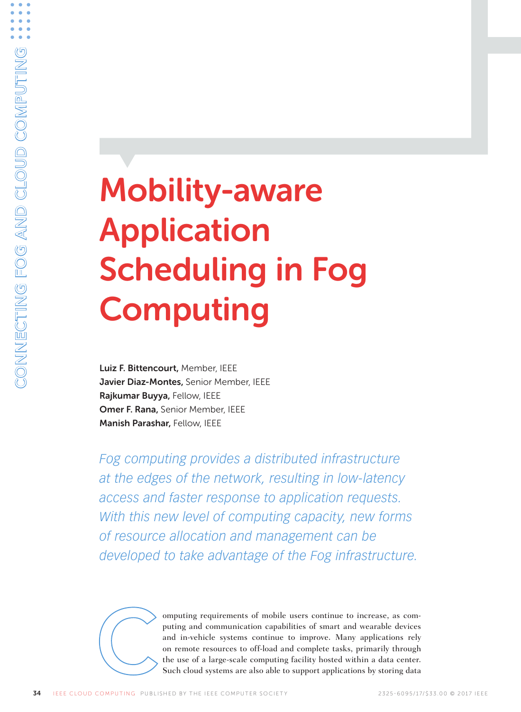# Mobility-aware Application Scheduling in Fog Computing

Luiz F. Bittencourt, Member, IEEE **Javier Diaz-Montes, Senior Member, IEEE** Rajkumar Buyya, Fellow, IEEE Omer F. Rana, Senior Member, IEEE Manish Parashar, Fellow, IEEE

*Fog computing provides a distributed infrastructure at the edges of the network, resulting in low-latency access and faster response to application requests. With this new level of computing capacity, new forms of resource allocation and management can be developed to take advantage of the Fog infrastructure.* 



omputing requirements of mobile users continue to increase, as computing and communication capabilities of smart and wearable devices and in-vehicle systems continue to improve. Many applications rely on remote resources to off-load and complete tasks, primarily through the use of a large-scale computing facility hosted within a data center. Such cloud systems are also able to support applications by storing data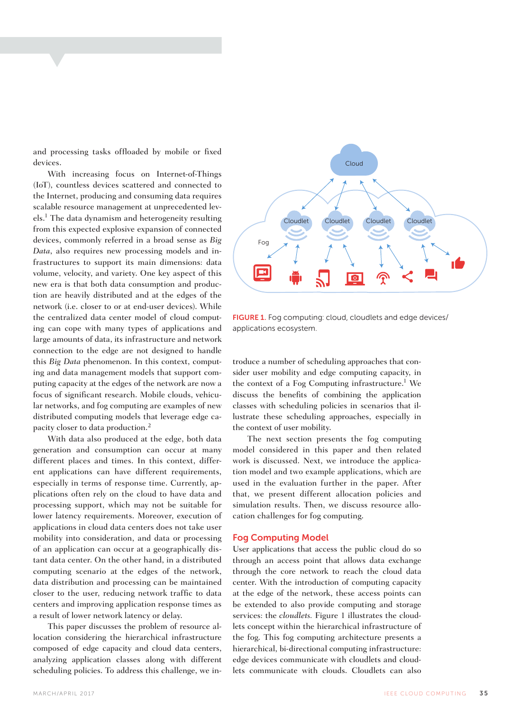and processing tasks offloaded by mobile or fixed devices.

With increasing focus on Internet-of-Things (IoT), countless devices scattered and connected to the Internet, producing and consuming data requires scalable resource management at unprecedented levels.1 The data dynamism and heterogeneity resulting from this expected explosive expansion of connected devices, commonly referred in a broad sense as *Big Data*, also requires new processing models and infrastructures to support its main dimensions: data volume, velocity, and variety. One key aspect of this new era is that both data consumption and production are heavily distributed and at the edges of the network (i.e. closer to or at end-user devices). While the centralized data center model of cloud computing can cope with many types of applications and large amounts of data, its infrastructure and network connection to the edge are not designed to handle this *Big Data* phenomenon. In this context, computing and data management models that support computing capacity at the edges of the network are now a focus of significant research. Mobile clouds, vehicular networks, and fog computing are examples of new distributed computing models that leverage edge capacity closer to data production.<sup>2</sup>

With data also produced at the edge, both data generation and consumption can occur at many different places and times. In this context, different applications can have different requirements, especially in terms of response time. Currently, applications often rely on the cloud to have data and processing support, which may not be suitable for lower latency requirements. Moreover, execution of applications in cloud data centers does not take user mobility into consideration, and data or processing of an application can occur at a geographically distant data center. On the other hand, in a distributed computing scenario at the edges of the network, data distribution and processing can be maintained closer to the user, reducing network traffic to data centers and improving application response times as a result of lower network latency or delay.

This paper discusses the problem of resource allocation considering the hierarchical infrastructure composed of edge capacity and cloud data centers, analyzing application classes along with different scheduling policies. To address this challenge, we in-



FIGURE 1. Fog computing: cloud, cloudlets and edge devices/ applications ecosystem.

troduce a number of scheduling approaches that consider user mobility and edge computing capacity, in the context of a Fog Computing infrastructure.<sup>1</sup> We discuss the benefits of combining the application classes with scheduling policies in scenarios that illustrate these scheduling approaches, especially in the context of user mobility.

The next section presents the fog computing model considered in this paper and then related work is discussed. Next, we introduce the application model and two example applications, which are used in the evaluation further in the paper. After that, we present different allocation policies and simulation results. Then, we discuss resource allocation challenges for fog computing.

#### Fog Computing Model

User applications that access the public cloud do so through an access point that allows data exchange through the core network to reach the cloud data center. With the introduction of computing capacity at the edge of the network, these access points can be extended to also provide computing and storage services: the *cloudlets*. Figure 1 illustrates the cloudlets concept within the hierarchical infrastructure of the fog. This fog computing architecture presents a hierarchical, bi-directional computing infrastructure: edge devices communicate with cloudlets and cloudlets communicate with clouds. Cloudlets can also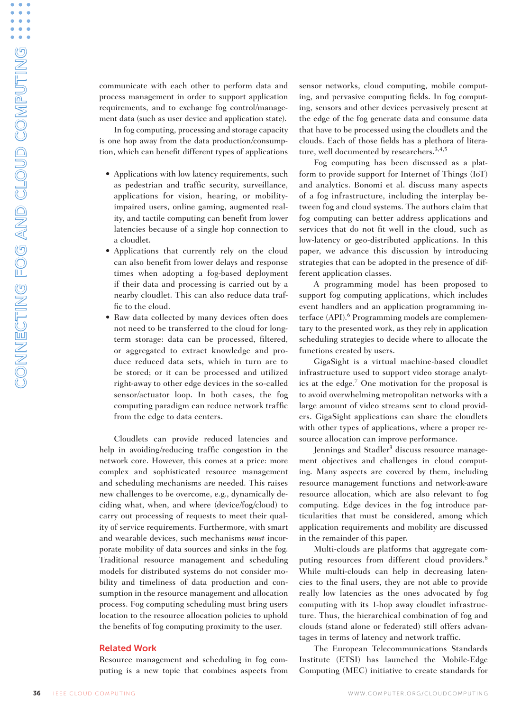$\bullet$   $\bullet$   $\bullet$ 

communicate with each other to perform data and process management in order to support application requirements, and to exchange fog control/management data (such as user device and application state).

In fog computing, processing and storage capacity is one hop away from the data production/consumption, which can benefit different types of applications

- Applications with low latency requirements, such as pedestrian and traffic security, surveillance, applications for vision, hearing, or mobilityimpaired users, online gaming, augmented reality, and tactile computing can benefit from lower latencies because of a single hop connection to a cloudlet.
- Applications that currently rely on the cloud can also benefit from lower delays and response times when adopting a fog-based deployment if their data and processing is carried out by a nearby cloudlet. This can also reduce data traffic to the cloud.
- Raw data collected by many devices often does not need to be transferred to the cloud for longterm storage: data can be processed, filtered, or aggregated to extract knowledge and produce reduced data sets, which in turn are to be stored; or it can be processed and utilized right-away to other edge devices in the so-called sensor/actuator loop. In both cases, the fog computing paradigm can reduce network traffic from the edge to data centers.

Cloudlets can provide reduced latencies and help in avoiding/reducing traffic congestion in the network core. However, this comes at a price: more complex and sophisticated resource management and scheduling mechanisms are needed. This raises new challenges to be overcome, e.g., dynamically deciding what, when, and where (device/fog/cloud) to carry out processing of requests to meet their quality of service requirements. Furthermore, with smart and wearable devices, such mechanisms *must* incorporate mobility of data sources and sinks in the fog. Traditional resource management and scheduling models for distributed systems do not consider mobility and timeliness of data production and consumption in the resource management and allocation process. Fog computing scheduling must bring users location to the resource allocation policies to uphold the benefits of fog computing proximity to the user.

## Related Work

Resource management and scheduling in fog computing is a new topic that combines aspects from sensor networks, cloud computing, mobile computing, and pervasive computing fields. In fog computing, sensors and other devices pervasively present at the edge of the fog generate data and consume data that have to be processed using the cloudlets and the clouds. Each of those fields has a plethora of literature, well documented by researchers.<sup>3,4,5</sup>

Fog computing has been discussed as a platform to provide support for Internet of Things (IoT) and analytics. Bonomi et al. discuss many aspects of a fog infrastructure, including the interplay between fog and cloud systems. The authors claim that fog computing can better address applications and services that do not fit well in the cloud, such as low-latency or geo-distributed applications. In this paper, we advance this discussion by introducing strategies that can be adopted in the presence of different application classes.

A programming model has been proposed to support fog computing applications, which includes event handlers and an application programming interface (API).<sup>6</sup> Programming models are complementary to the presented work, as they rely in application scheduling strategies to decide where to allocate the functions created by users.

GigaSight is a virtual machine-based cloudlet infrastructure used to support video storage analytics at the edge.<sup>7</sup> One motivation for the proposal is to avoid overwhelming metropolitan networks with a large amount of video streams sent to cloud providers. GigaSight applications can share the cloudlets with other types of applications, where a proper resource allocation can improve performance.

Jennings and Stadler<sup>3</sup> discuss resource management objectives and challenges in cloud computing. Many aspects are covered by them, including resource management functions and network-aware resource allocation, which are also relevant to fog computing. Edge devices in the fog introduce particularities that must be considered, among which application requirements and mobility are discussed in the remainder of this paper.

Multi-clouds are platforms that aggregate computing resources from different cloud providers.<sup>8</sup> While multi-clouds can help in decreasing latencies to the final users, they are not able to provide really low latencies as the ones advocated by fog computing with its 1-hop away cloudlet infrastructure. Thus, the hierarchical combination of fog and clouds (stand alone or federated) still offers advantages in terms of latency and network traffic.

The European Telecommunications Standards Institute (ETSI) has launched the Mobile-Edge Computing (MEC) initiative to create standards for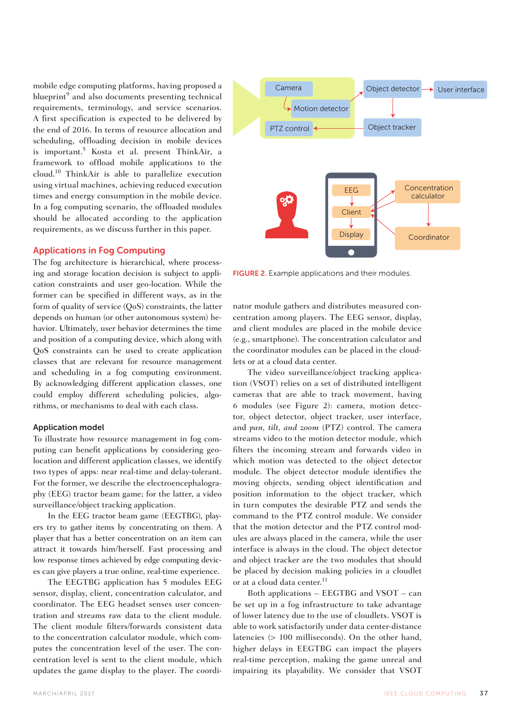mobile edge computing platforms, having proposed a blueprint<sup>9</sup> and also documents presenting technical requirements, terminology, and service scenarios. A first specification is expected to be delivered by the end of 2016. In terms of resource allocation and scheduling, offloading decision in mobile devices is important.<sup>5</sup> Kosta et al. present ThinkAir, a framework to offload mobile applications to the cloud.10 ThinkAir is able to parallelize execution using virtual machines, achieving reduced execution times and energy consumption in the mobile device. In a fog computing scenario, the offloaded modules should be allocated according to the application requirements, as we discuss further in this paper.



# Applications in Fog Computing

The fog architecture is hierarchical, where processing and storage location decision is subject to application constraints and user geo-location. While the former can be specified in different ways, as in the form of quality of service (QoS) constraints, the latter depends on human (or other autonomous system) behavior. Ultimately, user behavior determines the time and position of a computing device, which along with QoS constraints can be used to create application classes that are relevant for resource management and scheduling in a fog computing environment. By acknowledging different application classes, one could employ different scheduling policies, algorithms, or mechanisms to deal with each class.

## Application model

To illustrate how resource management in fog computing can benefit applications by considering geolocation and different application classes, we identify two types of apps: near real-time and delay-tolerant. For the former, we describe the electroencephalography (EEG) tractor beam game; for the latter, a video surveillance/object tracking application.

In the EEG tractor beam game (EEGTBG), players try to gather items by concentrating on them. A player that has a better concentration on an item can attract it towards him/herself. Fast processing and low response times achieved by edge computing devices can give players a true online, real-time experience.

The EEGTBG application has 5 modules EEG sensor, display, client, concentration calculator, and coordinator. The EEG headset senses user concentration and streams raw data to the client module. The client module filters/forwards consistent data to the concentration calculator module, which computes the concentration level of the user. The concentration level is sent to the client module, which updates the game display to the player. The coordi-

FIGURE 2. Example applications and their modules.

nator module gathers and distributes measured concentration among players. The EEG sensor, display, and client modules are placed in the mobile device (e.g., smartphone). The concentration calculator and the coordinator modules can be placed in the cloudlets or at a cloud data center.

The video surveillance/object tracking application (VSOT) relies on a set of distributed intelligent cameras that are able to track movement, having 6 modules (see Figure 2): camera, motion detector, object detector, object tracker, user interface, and *pan, tilt, and zoom* (PTZ) control. The camera streams video to the motion detector module, which filters the incoming stream and forwards video in which motion was detected to the object detector module. The object detector module identifies the moving objects, sending object identification and position information to the object tracker, which in turn computes the desirable PTZ and sends the command to the PTZ control module. We consider that the motion detector and the PTZ control modules are always placed in the camera, while the user interface is always in the cloud. The object detector and object tracker are the two modules that should be placed by decision making policies in a cloudlet or at a cloud data center.<sup>11</sup>

Both applications – EEGTBG and VSOT – can be set up in a fog infrastructure to take advantage of lower latency due to the use of cloudlets. VSOT is able to work satisfactorily under data center-distance latencies (> 100 milliseconds). On the other hand, higher delays in EEGTBG can impact the players real-time perception, making the game unreal and impairing its playability. We consider that VSOT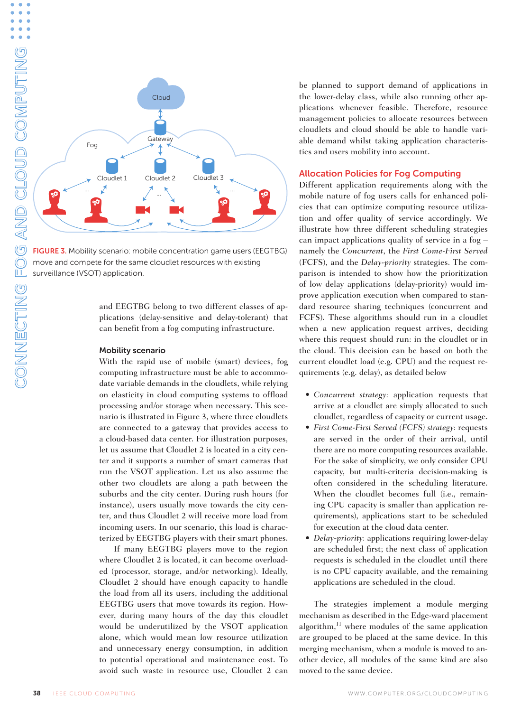$\bullet$  $\bullet$  $\bullet$ 



FIGURE 3. Mobility scenario: mobile concentration game users (EEGTBG) move and compete for the same cloudlet resources with existing surveillance (VSOT) application.

and EEGTBG belong to two different classes of applications (delay-sensitive and delay-tolerant) that can benefit from a fog computing infrastructure.

#### Mobility scenario

With the rapid use of mobile (smart) devices, fog computing infrastructure must be able to accommodate variable demands in the cloudlets, while relying on elasticity in cloud computing systems to offload processing and/or storage when necessary. This scenario is illustrated in Figure 3, where three cloudlets are connected to a gateway that provides access to a cloud-based data center. For illustration purposes, let us assume that Cloudlet 2 is located in a city center and it supports a number of smart cameras that run the VSOT application. Let us also assume the other two cloudlets are along a path between the suburbs and the city center. During rush hours (for instance), users usually move towards the city center, and thus Cloudlet 2 will receive more load from incoming users. In our scenario, this load is characterized by EEGTBG players with their smart phones.

If many EEGTBG players move to the region where Cloudlet 2 is located, it can become overloaded (processor, storage, and/or networking). Ideally, Cloudlet 2 should have enough capacity to handle the load from all its users, including the additional EEGTBG users that move towards its region. However, during many hours of the day this cloudlet would be underutilized by the VSOT application alone, which would mean low resource utilization and unnecessary energy consumption, in addition to potential operational and maintenance cost. To avoid such waste in resource use, Cloudlet 2 can be planned to support demand of applications in the lower-delay class, while also running other applications whenever feasible. Therefore, resource management policies to allocate resources between cloudlets and cloud should be able to handle variable demand whilst taking application characteristics and users mobility into account.

## Allocation Policies for Fog Computing

Different application requirements along with the mobile nature of fog users calls for enhanced policies that can optimize computing resource utilization and offer quality of service accordingly. We illustrate how three different scheduling strategies can impact applications quality of service in a fog – namely the *Concurrent*, the *First Come-First Served* (FCFS), and the *Delay-priority* strategies. The comparison is intended to show how the prioritization of low delay applications (delay-priority) would improve application execution when compared to standard resource sharing techniques (concurrent and FCFS). These algorithms should run in a cloudlet when a new application request arrives, deciding where this request should run: in the cloudlet or in the cloud. This decision can be based on both the current cloudlet load (e.g. CPU) and the request requirements (e.g. delay), as detailed below

- *Concurrent strategy*: application requests that arrive at a cloudlet are simply allocated to such cloudlet, regardless of capacity or current usage.
- *First Come-First Served (FCFS) strategy*: requests are served in the order of their arrival, until there are no more computing resources available. For the sake of simplicity, we only consider CPU capacity, but multi-criteria decision-making is often considered in the scheduling literature. When the cloudlet becomes full (i.e., remaining CPU capacity is smaller than application requirements), applications start to be scheduled for execution at the cloud data center.
- *Delay-priority*: applications requiring lower-delay are scheduled first; the next class of application requests is scheduled in the cloudlet until there is no CPU capacity available, and the remaining applications are scheduled in the cloud.

The strategies implement a module merging mechanism as described in the Edge-ward placement algorithm, $^{11}$  where modules of the same application are grouped to be placed at the same device. In this merging mechanism, when a module is moved to another device, all modules of the same kind are also moved to the same device.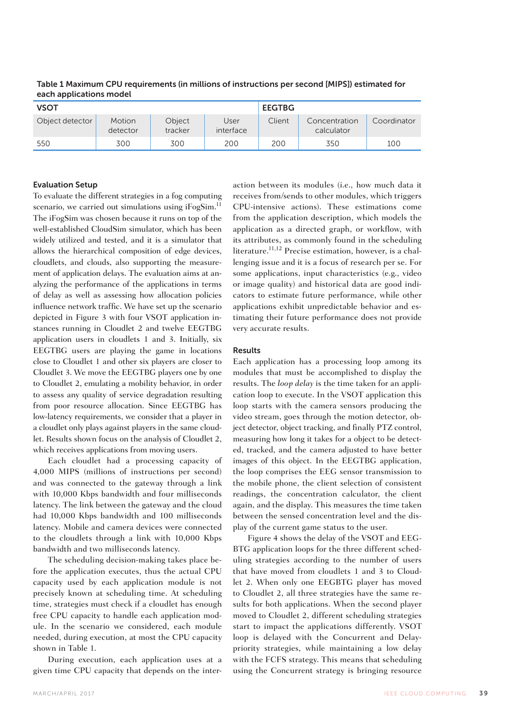Table 1 Maximum CPU requirements (in millions of instructions per second [MIPS]) estimated for each applications model

| <b>VSOT</b>     |                    |                   |                   | <b>EEGTBG</b> |                             |             |
|-----------------|--------------------|-------------------|-------------------|---------------|-----------------------------|-------------|
| Object detector | Motion<br>detector | Object<br>tracker | User<br>interface | Client        | Concentration<br>calculator | Coordinator |
| 550             | 300                | 300               | 200               | 200           | 350                         | 100         |

#### Evaluation Setup

To evaluate the different strategies in a fog computing scenario, we carried out simulations using iFogSim.<sup>11</sup> The iFogSim was chosen because it runs on top of the well-established CloudSim simulator, which has been widely utilized and tested, and it is a simulator that allows the hierarchical composition of edge devices, cloudlets, and clouds, also supporting the measurement of application delays. The evaluation aims at analyzing the performance of the applications in terms of delay as well as assessing how allocation policies influence network traffic. We have set up the scenario depicted in Figure 3 with four VSOT application instances running in Cloudlet 2 and twelve EEGTBG application users in cloudlets 1 and 3. Initially, six EEGTBG users are playing the game in locations close to Cloudlet 1 and other six players are closer to Cloudlet 3. We move the EEGTBG players one by one to Cloudlet 2, emulating a mobility behavior, in order to assess any quality of service degradation resulting from poor resource allocation. Since EEGTBG has low-latency requirements, we consider that a player in a cloudlet only plays against players in the same cloudlet. Results shown focus on the analysis of Cloudlet 2, which receives applications from moving users.

Each cloudlet had a processing capacity of 4,000 MIPS (millions of instructions per second) and was connected to the gateway through a link with 10,000 Kbps bandwidth and four milliseconds latency. The link between the gateway and the cloud had 10,000 Kbps bandwidth and 100 milliseconds latency. Mobile and camera devices were connected to the cloudlets through a link with 10,000 Kbps bandwidth and two milliseconds latency.

The scheduling decision-making takes place before the application executes, thus the actual CPU capacity used by each application module is not precisely known at scheduling time. At scheduling time, strategies must check if a cloudlet has enough free CPU capacity to handle each application module. In the scenario we considered, each module needed, during execution, at most the CPU capacity shown in Table 1.

During execution, each application uses at a given time CPU capacity that depends on the interaction between its modules (i.e., how much data it receives from/sends to other modules, which triggers CPU-intensive actions). These estimations come from the application description, which models the application as a directed graph, or workflow, with its attributes, as commonly found in the scheduling literature.<sup>11,12</sup> Precise estimation, however, is a challenging issue and it is a focus of research per se. For some applications, input characteristics (e.g., video or image quality) and historical data are good indicators to estimate future performance, while other applications exhibit unpredictable behavior and estimating their future performance does not provide very accurate results.

### Results

Each application has a processing loop among its modules that must be accomplished to display the results. The *loop delay* is the time taken for an application loop to execute. In the VSOT application this loop starts with the camera sensors producing the video stream, goes through the motion detector, object detector, object tracking, and finally PTZ control, measuring how long it takes for a object to be detected, tracked, and the camera adjusted to have better images of this object. In the EEGTBG application, the loop comprises the EEG sensor transmission to the mobile phone, the client selection of consistent readings, the concentration calculator, the client again, and the display. This measures the time taken between the sensed concentration level and the display of the current game status to the user.

Figure 4 shows the delay of the VSOT and EEG-BTG application loops for the three different scheduling strategies according to the number of users that have moved from cloudlets 1 and 3 to Cloudlet 2. When only one EEGBTG player has moved to Cloudlet 2, all three strategies have the same results for both applications. When the second player moved to Cloudlet 2, different scheduling strategies start to impact the applications differently. VSOT loop is delayed with the Concurrent and Delaypriority strategies, while maintaining a low delay with the FCFS strategy. This means that scheduling using the Concurrent strategy is bringing resource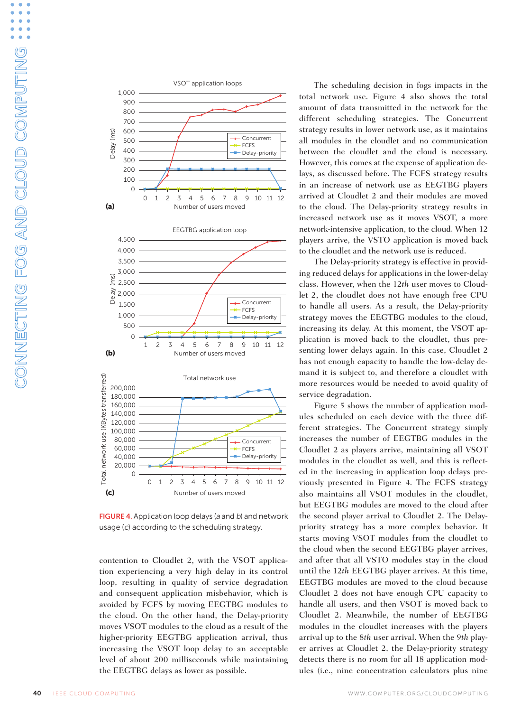ö  $\bullet$ ٠







FIGURE 4. Application loop delays (a and b) and network usage (c) according to the scheduling strategy.

contention to Cloudlet 2, with the VSOT application experiencing a very high delay in its control loop, resulting in quality of service degradation and consequent application misbehavior, which is avoided by FCFS by moving EEGTBG modules to the cloud. On the other hand, the Delay-priority moves VSOT modules to the cloud as a result of the higher-priority EEGTBG application arrival, thus increasing the VSOT loop delay to an acceptable level of about 200 milliseconds while maintaining the EEGTBG delays as lower as possible.

The scheduling decision in fogs impacts in the total network use. Figure 4 also shows the total amount of data transmitted in the network for the different scheduling strategies. The Concurrent strategy results in lower network use, as it maintains all modules in the cloudlet and no communication between the cloudlet and the cloud is necessary. However, this comes at the expense of application delays, as discussed before. The FCFS strategy results in an increase of network use as EEGTBG players arrived at Cloudlet 2 and their modules are moved to the cloud. The Delay-priority strategy results in increased network use as it moves VSOT, a more network-intensive application, to the cloud. When 12 players arrive, the VSTO application is moved back to the cloudlet and the network use is reduced.

The Delay-priority strategy is effective in providing reduced delays for applications in the lower-delay class. However, when the 12*th* user moves to Cloudlet 2, the cloudlet does not have enough free CPU to handle all users. As a result, the Delay-priority strategy moves the EEGTBG modules to the cloud, increasing its delay. At this moment, the VSOT application is moved back to the cloudlet, thus presenting lower delays again. In this case, Cloudlet 2 has not enough capacity to handle the low-delay demand it is subject to, and therefore a cloudlet with more resources would be needed to avoid quality of service degradation.

Figure 5 shows the number of application modules scheduled on each device with the three different strategies. The Concurrent strategy simply increases the number of EEGTBG modules in the Cloudlet 2 as players arrive, maintaining all VSOT modules in the cloudlet as well, and this is reflected in the increasing in application loop delays previously presented in Figure 4. The FCFS strategy also maintains all VSOT modules in the cloudlet, but EEGTBG modules are moved to the cloud after the second player arrival to Cloudlet 2. The Delaypriority strategy has a more complex behavior. It starts moving VSOT modules from the cloudlet to the cloud when the second EEGTBG player arrives, and after that all VSTO modules stay in the cloud until the 12*th* EEGTBG player arrives. At this time, EEGTBG modules are moved to the cloud because Cloudlet 2 does not have enough CPU capacity to handle all users, and then VSOT is moved back to Cloudlet 2. Meanwhile, the number of EEGTBG modules in the cloudlet increases with the players arrival up to the 8*th* user arrival. When the 9*th* player arrives at Cloudlet 2, the Delay-priority strategy detects there is no room for all 18 application modules (i.e., nine concentration calculators plus nine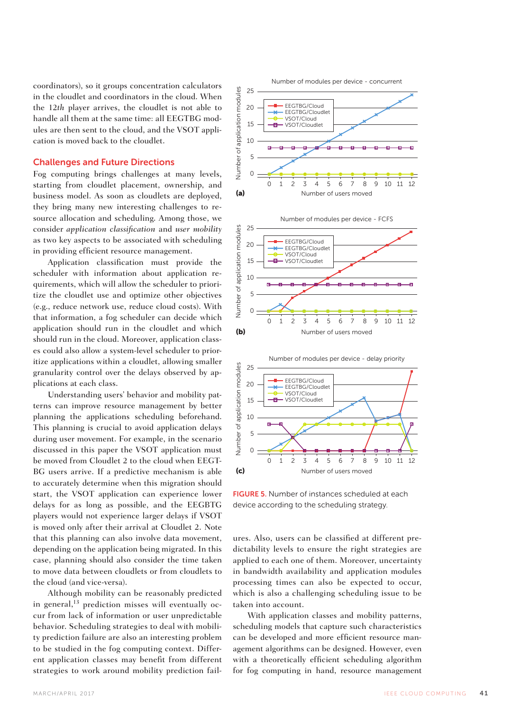coordinators), so it groups concentration calculators in the cloudlet and coordinators in the cloud. When the 12*th* player arrives, the cloudlet is not able to handle all them at the same time: all EEGTBG modules are then sent to the cloud, and the VSOT application is moved back to the cloudlet.

### Challenges and Future Directions

Fog computing brings challenges at many levels, starting from cloudlet placement, ownership, and business model. As soon as cloudlets are deployed, they bring many new interesting challenges to resource allocation and scheduling. Among those, we consider *application classification* and *user mobility* as two key aspects to be associated with scheduling in providing efficient resource management.

Application classification must provide the scheduler with information about application requirements, which will allow the scheduler to prioritize the cloudlet use and optimize other objectives (e.g., reduce network use, reduce cloud costs). With that information, a fog scheduler can decide which application should run in the cloudlet and which should run in the cloud. Moreover, application classes could also allow a system-level scheduler to prioritize applications within a cloudlet, allowing smaller granularity control over the delays observed by applications at each class.

Understanding users' behavior and mobility patterns can improve resource management by better planning the applications scheduling beforehand. This planning is crucial to avoid application delays during user movement. For example, in the scenario discussed in this paper the VSOT application must be moved from Cloudlet 2 to the cloud when EEGT-BG users arrive. If a predictive mechanism is able to accurately determine when this migration should start, the VSOT application can experience lower delays for as long as possible, and the EEGBTG players would not experience larger delays if VSOT is moved only after their arrival at Cloudlet 2. Note that this planning can also involve data movement, depending on the application being migrated. In this case, planning should also consider the time taken to move data between cloudlets or from cloudlets to the cloud (and vice-versa).

Although mobility can be reasonably predicted in general, $^{13}$  prediction misses will eventually occur from lack of information or user unpredictable behavior. Scheduling strategies to deal with mobility prediction failure are also an interesting problem to be studied in the fog computing context. Different application classes may benefit from different strategies to work around mobility prediction fail-



Number of modules per device - concurrent

(c) Number of users moved 0 1 2 3 4 5 6 7 8 9 10 11 12 0 5

FIGURE 5. Number of instances scheduled at each device according to the scheduling strategy.

ures. Also, users can be classified at different predictability levels to ensure the right strategies are applied to each one of them. Moreover, uncertainty in bandwidth availability and application modules processing times can also be expected to occur, which is also a challenging scheduling issue to be taken into account.

With application classes and mobility patterns, scheduling models that capture such characteristics can be developed and more efficient resource management algorithms can be designed. However, even with a theoretically efficient scheduling algorithm for fog computing in hand, resource management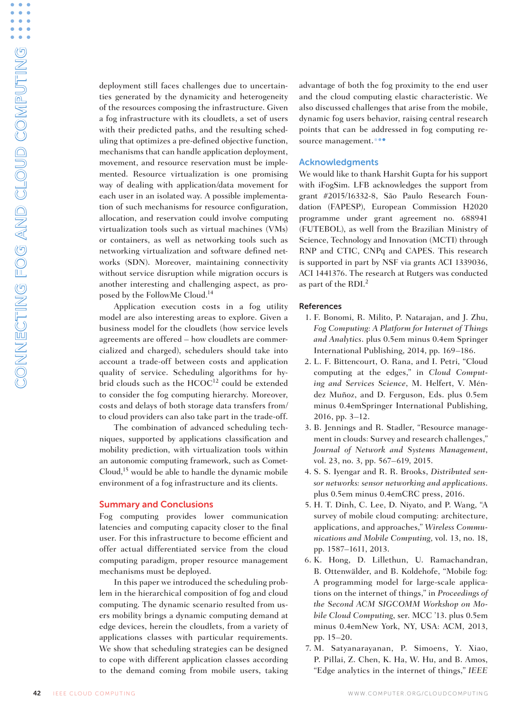$\bullet$ 

deployment still faces challenges due to uncertainties generated by the dynamicity and heterogeneity of the resources composing the infrastructure. Given a fog infrastructure with its cloudlets, a set of users with their predicted paths, and the resulting scheduling that optimizes a pre-defined objective function, mechanisms that can handle application deployment, movement, and resource reservation must be implemented. Resource virtualization is one promising way of dealing with application/data movement for each user in an isolated way. A possible implementation of such mechanisms for resource configuration, allocation, and reservation could involve computing virtualization tools such as virtual machines (VMs) or containers, as well as networking tools such as networking virtualization and software defined networks (SDN). Moreover, maintaining connectivity without service disruption while migration occurs is another interesting and challenging aspect, as proposed by the FollowMe Cloud.<sup>14</sup>

Application execution costs in a fog utility model are also interesting areas to explore. Given a business model for the cloudlets (how service levels agreements are offered – how cloudlets are commercialized and charged), schedulers should take into account a trade-off between costs and application quality of service. Scheduling algorithms for hybrid clouds such as the HCOC<sup>12</sup> could be extended to consider the fog computing hierarchy. Moreover, costs and delays of both storage data transfers from/ to cloud providers can also take part in the trade-off.

The combination of advanced scheduling techniques, supported by applications classification and mobility prediction, with virtualization tools within an autonomic computing framework, such as Comet- $Cloud<sub>15</sub>$  would be able to handle the dynamic mobile environment of a fog infrastructure and its clients.

#### Summary and Conclusions

Fog computing provides lower communication latencies and computing capacity closer to the final user. For this infrastructure to become efficient and offer actual differentiated service from the cloud computing paradigm, proper resource management mechanisms must be deployed.

In this paper we introduced the scheduling problem in the hierarchical composition of fog and cloud computing. The dynamic scenario resulted from users mobility brings a dynamic computing demand at edge devices, herein the cloudlets, from a variety of applications classes with particular requirements. We show that scheduling strategies can be designed to cope with different application classes according to the demand coming from mobile users, taking

advantage of both the fog proximity to the end user and the cloud computing elastic characteristic. We also discussed challenges that arise from the mobile, dynamic fog users behavior, raising central research points that can be addressed in fog computing resource management.<sup>100</sup>

## Acknowledgments

We would like to thank Harshit Gupta for his support with iFogSim. LFB acknowledges the support from grant #2015/16332-8, São Paulo Research Foundation (FAPESP), European Commission H2020 programme under grant agreement no. 688941 (FUTEBOL), as well from the Brazilian Ministry of Science, Technology and Innovation (MCTI) through RNP and CTIC, CNPq and CAPES. This research is supported in part by NSF via grants ACI 1339036, ACI 1441376. The research at Rutgers was conducted as part of the RDI.<sup>2</sup>

#### References

- 1. F. Bonomi, R. Milito, P. Natarajan, and J. Zhu, *Fog Computing: A Platform for Internet of Things and Analytics*. plus 0.5em minus 0.4em Springer International Publishing, 2014, pp. 169–186.
- 2. L. F. Bittencourt, O. Rana, and I. Petri, "Cloud computing at the edges," in *Cloud Computing and Services Science*, M. Helfert, V. Méndez Muñoz, and D. Ferguson, Eds. plus 0.5em minus 0.4emSpringer International Publishing, 2016, pp. 3–12.
- 3. B. Jennings and R. Stadler, "Resource management in clouds: Survey and research challenges," *Journal of Network and Systems Management*, vol. 23, no. 3, pp. 567–619, 2015.
- 4. S. S. Iyengar and R. R. Brooks, *Distributed sensor networks: sensor networking and applications*. plus 0.5em minus 0.4emCRC press, 2016.
- 5. H. T. Dinh, C. Lee, D. Niyato, and P. Wang, "A survey of mobile cloud computing: architecture, applications, and approaches," *Wireless Communications and Mobile Computing*, vol. 13, no. 18, pp. 1587–1611, 2013.
- 6. K. Hong, D. Lillethun, U. Ramachandran, B. Ottenwälder, and B. Koldehofe, "Mobile fog: A programming model for large-scale applications on the internet of things," in *Proceedings of the Second ACM SIGCOMM Workshop on Mobile Cloud Computing*, ser. MCC '13. plus 0.5em minus 0.4emNew York, NY, USA: ACM, 2013, pp. 15–20.
- 7. M. Satyanarayanan, P. Simoens, Y. Xiao, P. Pillai, Z. Chen, K. Ha, W. Hu, and B. Amos, "Edge analytics in the internet of things," *IEEE*